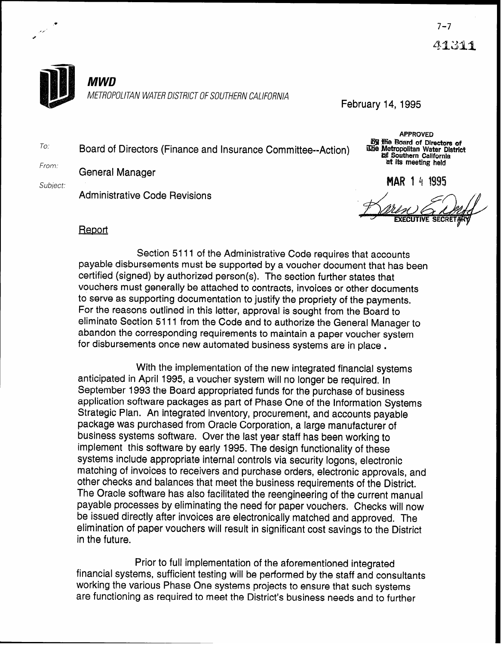



#

**MWD** 

METROPOLITAN WATER DISTRICT OF SOUTHERN CALIFORNIA

February 14, 1995

To. Board of Directors (Finance and Insurance Committee--Action)

From. General Manager

Administrative Code Revisions

**APPROVED By the Board of Directors of** Line Metropolitan Water District **of Southern California** at its meeting held

Subject: **PM?** 1 4 1995

## **Report**

Section 5111 of the Administrative Code requires that accounts payable disbursements must be supported by a voucher document that has been certified (signed) by authorized person(s). The section further states that vouchers must generally be attached to contracts, invoices or other documents to serve as supporting documentation to justify the propriety of the payments. For the reasons outlined in this letter, approval is sought from the Board to eliminate Section 5111 from the Code and to authorize the General Manager to abandon the corresponding requirements to maintain a paper voucher system for disbursements once new automated business systems are in place .

With the implementation of the new integrated financial systems anticipated in April 1995, a voucher system will no longer be required. In September 1993 the Board appropriated funds for the purchase of business application software packages as part of Phase One of the Information Systems Strategic Plan. An integrated inventory, procurement, and accounts payable package was purchased from Oracle Corporation, a large manufacturer of business systems software. Over the last year staff has been working to implement this software by early 1995. The design functionality of these systems include appropriate internal controls via security logons, electronic matching of invoices to receivers and purchase orders, electronic approvals, and other checks and balances that meet the business requirements of the District. The Oracle software has also facilitated the reengineering of the current manual payable processes by eliminating the need for paper vouchers. Checks will now be issued directly after invoices are electronically matched and approved. The elimination of paper vouchers will result in significant cost savings to the District in the future.

Prior to full implementation of the aforementioned integrated financial systems, sufficient testing will be performed by the staff and consultants working the various Phase One systems projects to ensure that such systems are functioning as required to meet the District's business needs and to further